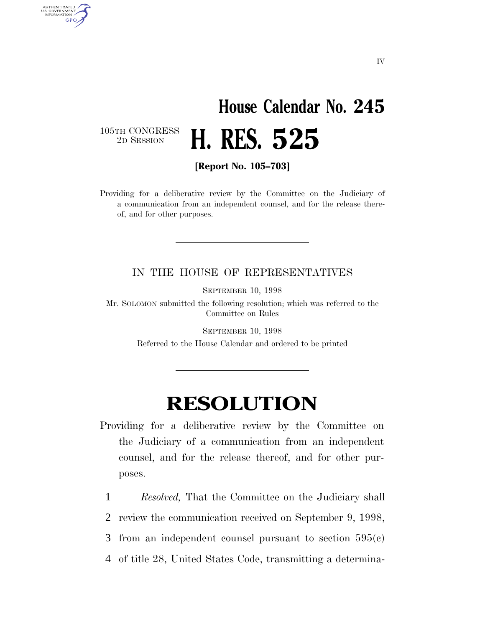## **House Calendar No. 245** 2D SESSION **H. RES. 525**

105TH CONGRESS<br>2D SESSION

AUTHENTICATED<br>U.S. GOVERNMENT<br>INFORMATION **GPO** 

**[Report No. 105–703]**

Providing for a deliberative review by the Committee on the Judiciary of a communication from an independent counsel, and for the release thereof, and for other purposes.

## IN THE HOUSE OF REPRESENTATIVES

SEPTEMBER 10, 1998

Mr. SOLOMON submitted the following resolution; which was referred to the Committee on Rules

> SEPTEMBER 10, 1998 Referred to the House Calendar and ordered to be printed

## **RESOLUTION**

Providing for a deliberative review by the Committee on the Judiciary of a communication from an independent counsel, and for the release thereof, and for other purposes.

1 *Resolved,* That the Committee on the Judiciary shall

2 review the communication received on September 9, 1998,

- 3 from an independent counsel pursuant to section 595(c)
- 4 of title 28, United States Code, transmitting a determina-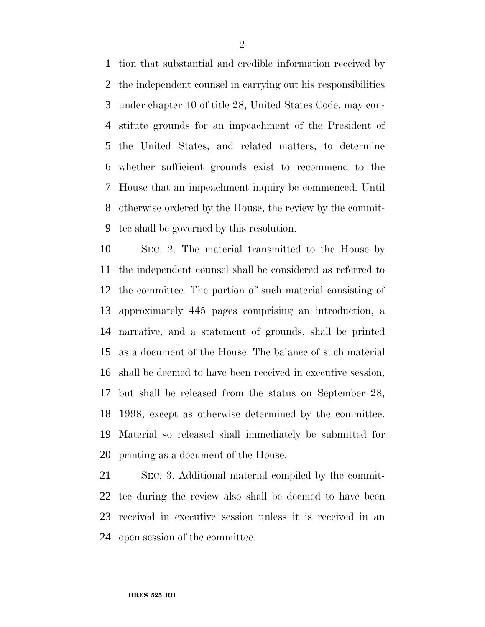tion that substantial and credible information received by the independent counsel in carrying out his responsibilities under chapter 40 of title 28, United States Code, may con- stitute grounds for an impeachment of the President of the United States, and related matters, to determine whether sufficient grounds exist to recommend to the House that an impeachment inquiry be commenced. Until otherwise ordered by the House, the review by the commit-tee shall be governed by this resolution.

 SEC. 2. The material transmitted to the House by the independent counsel shall be considered as referred to the committee. The portion of such material consisting of approximately 445 pages comprising an introduction, a narrative, and a statement of grounds, shall be printed as a document of the House. The balance of such material shall be deemed to have been received in executive session, but shall be released from the status on September 28, 1998, except as otherwise determined by the committee. Material so released shall immediately be submitted for printing as a document of the House.

 SEC. 3. Additional material compiled by the commit- tee during the review also shall be deemed to have been received in executive session unless it is received in an open session of the committee.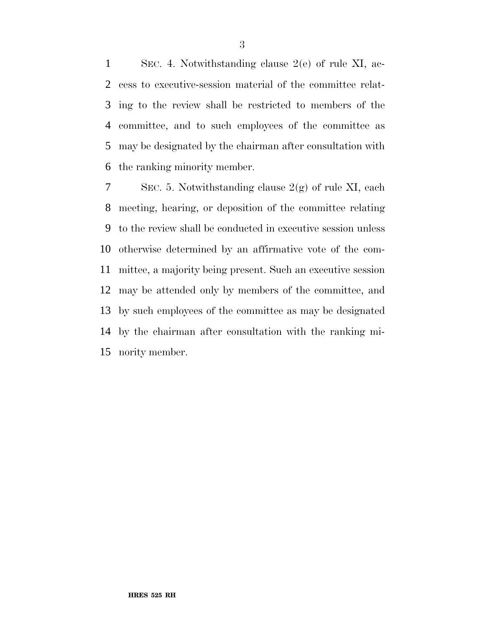SEC. 4. Notwithstanding clause 2(e) of rule XI, ac- cess to executive-session material of the committee relat- ing to the review shall be restricted to members of the committee, and to such employees of the committee as may be designated by the chairman after consultation with the ranking minority member.

7 SEC. 5. Notwithstanding clause  $2(g)$  of rule XI, each meeting, hearing, or deposition of the committee relating to the review shall be conducted in executive session unless otherwise determined by an affirmative vote of the com- mittee, a majority being present. Such an executive session may be attended only by members of the committee, and by such employees of the committee as may be designated by the chairman after consultation with the ranking mi-nority member.